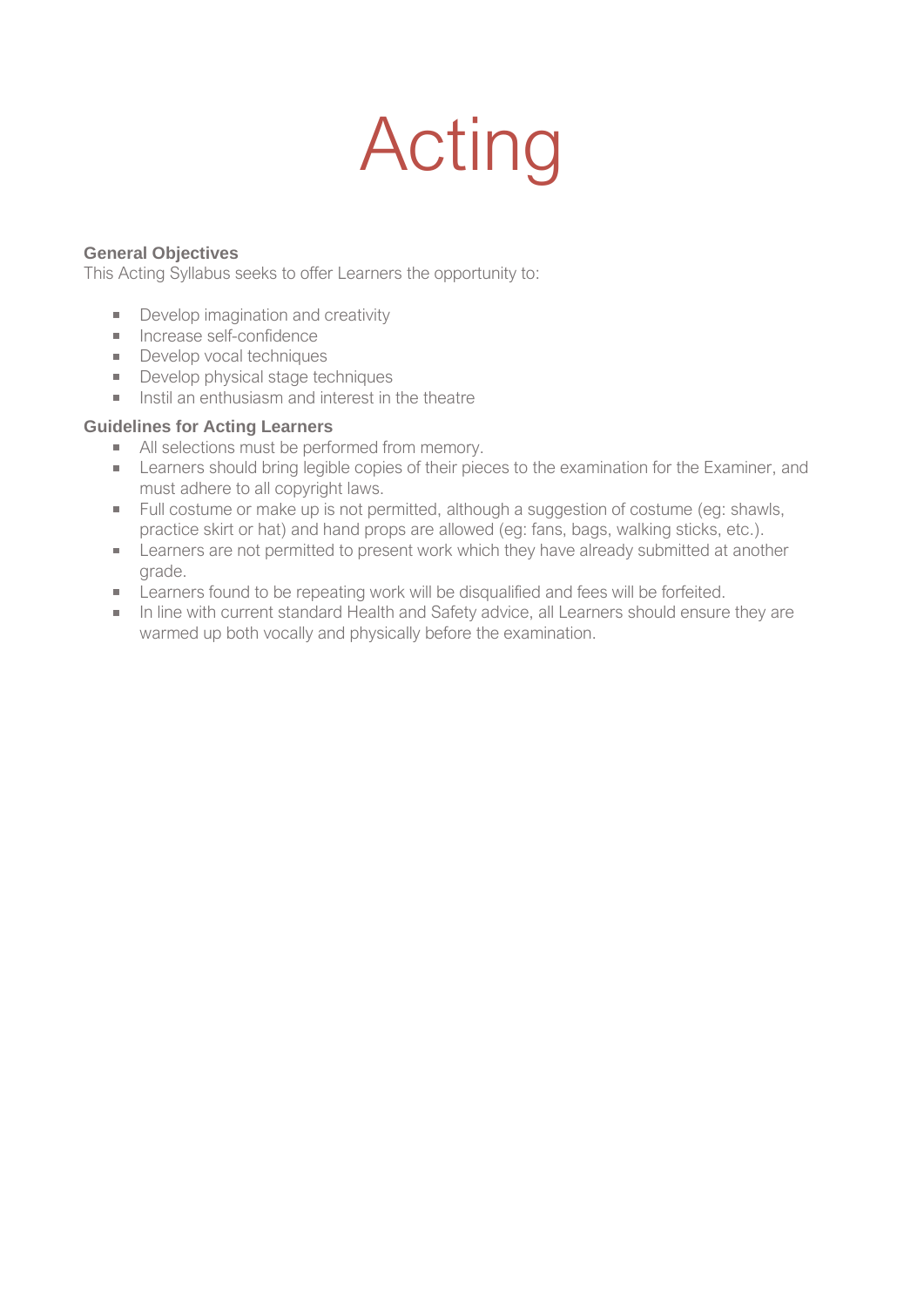# Acting

#### **General Objectives**

This Acting Syllabus seeks to offer Learners the opportunity to:

- Develop imagination and creativity
- **Increase self-confidence**
- Develop vocal techniques
- Develop physical stage techniques
- **Instil an enthusiasm and interest in the theatre**

#### **Guidelines for Acting Learners**

- All selections must be performed from memory.
- **Learners should bring legible copies of their pieces to the examination for the Examiner, and** must adhere to all copyright laws.
- Full costume or make up is not permitted, although a suggestion of costume (eg: shawls, practice skirt or hat) and hand props are allowed (eg: fans, bags, walking sticks, etc.).
- **EXECT** Learners are not permitted to present work which they have already submitted at another grade.
- **EXECT** Learners found to be repeating work will be disqualified and fees will be forfeited.
- In line with current standard Health and Safety advice, all Learners should ensure they are warmed up both vocally and physically before the examination.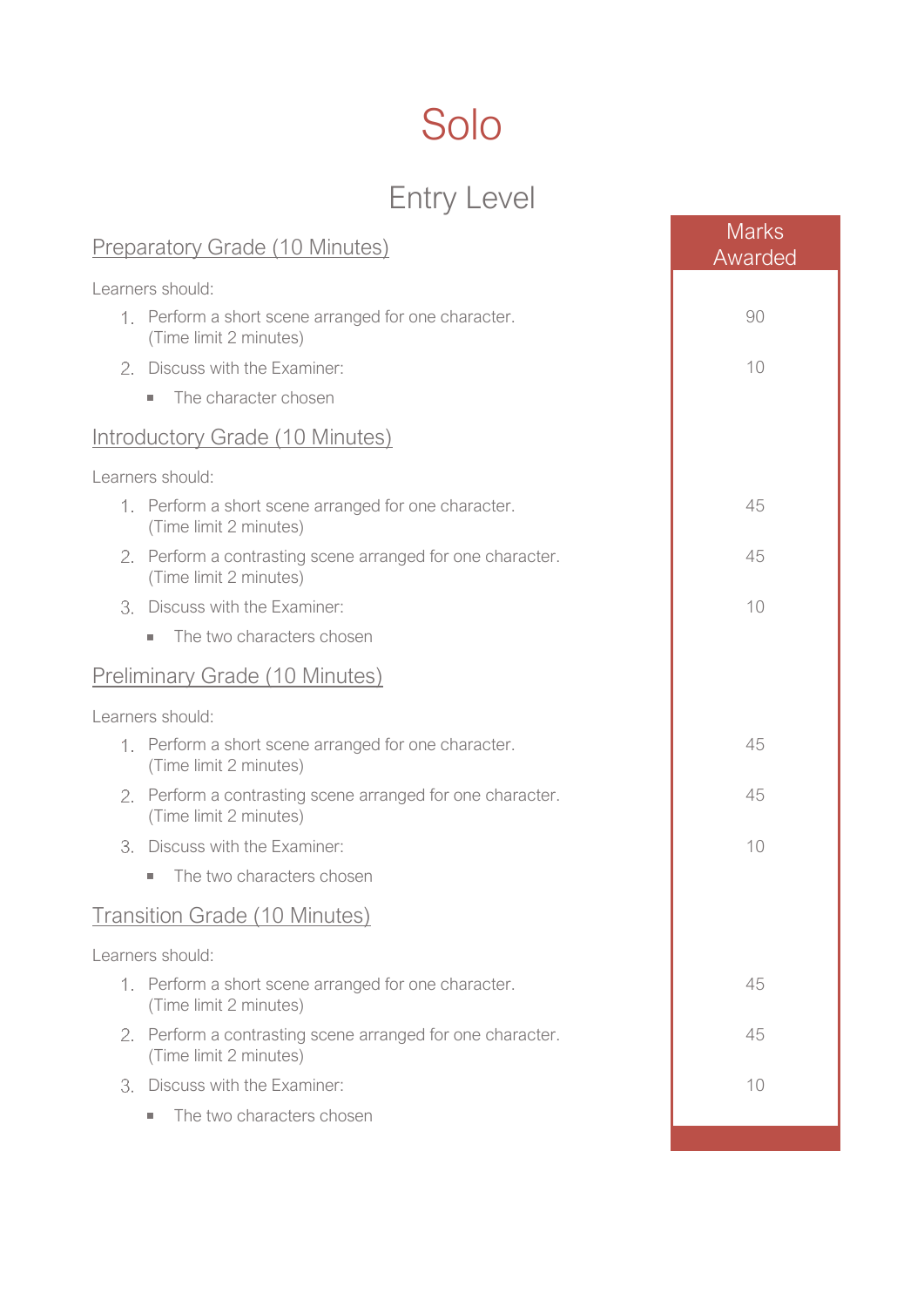## Solo

## Entry Level

| <b>Preparatory Grade (10 Minutes)</b>                                                | <b>Marks</b><br>Awarded |  |
|--------------------------------------------------------------------------------------|-------------------------|--|
| Learners should:                                                                     |                         |  |
| 1. Perform a short scene arranged for one character.<br>(Time limit 2 minutes)       | 90                      |  |
| 2. Discuss with the Examiner:                                                        | 10                      |  |
| The character chosen<br>×.                                                           |                         |  |
| Introductory Grade (10 Minutes)                                                      |                         |  |
| Learners should:                                                                     |                         |  |
| 1. Perform a short scene arranged for one character.<br>(Time limit 2 minutes)       | 45                      |  |
| 2. Perform a contrasting scene arranged for one character.<br>(Time limit 2 minutes) | 45                      |  |
| Discuss with the Examiner:<br>3.                                                     | 10                      |  |
| The two characters chosen<br>$\mathcal{L}_{\mathcal{A}}$                             |                         |  |
| <b>Preliminary Grade (10 Minutes)</b>                                                |                         |  |
| Learners should:                                                                     |                         |  |
| 1. Perform a short scene arranged for one character.<br>(Time limit 2 minutes)       | 45                      |  |
| 2. Perform a contrasting scene arranged for one character.<br>(Time limit 2 minutes) | 45                      |  |
| 3. Discuss with the Examiner:                                                        | 10                      |  |
| The two characters chosen<br>$\mathcal{L}_{\mathcal{A}}$                             |                         |  |
| <b>Transition Grade (10 Minutes)</b>                                                 |                         |  |
| Learners should:                                                                     |                         |  |
| 1. Perform a short scene arranged for one character.<br>(Time limit 2 minutes)       | 45                      |  |
| 2. Perform a contrasting scene arranged for one character.<br>(Time limit 2 minutes) | 45                      |  |
| 3. Discuss with the Examiner:                                                        | 10                      |  |
| The two characters chosen<br>×.                                                      |                         |  |
|                                                                                      |                         |  |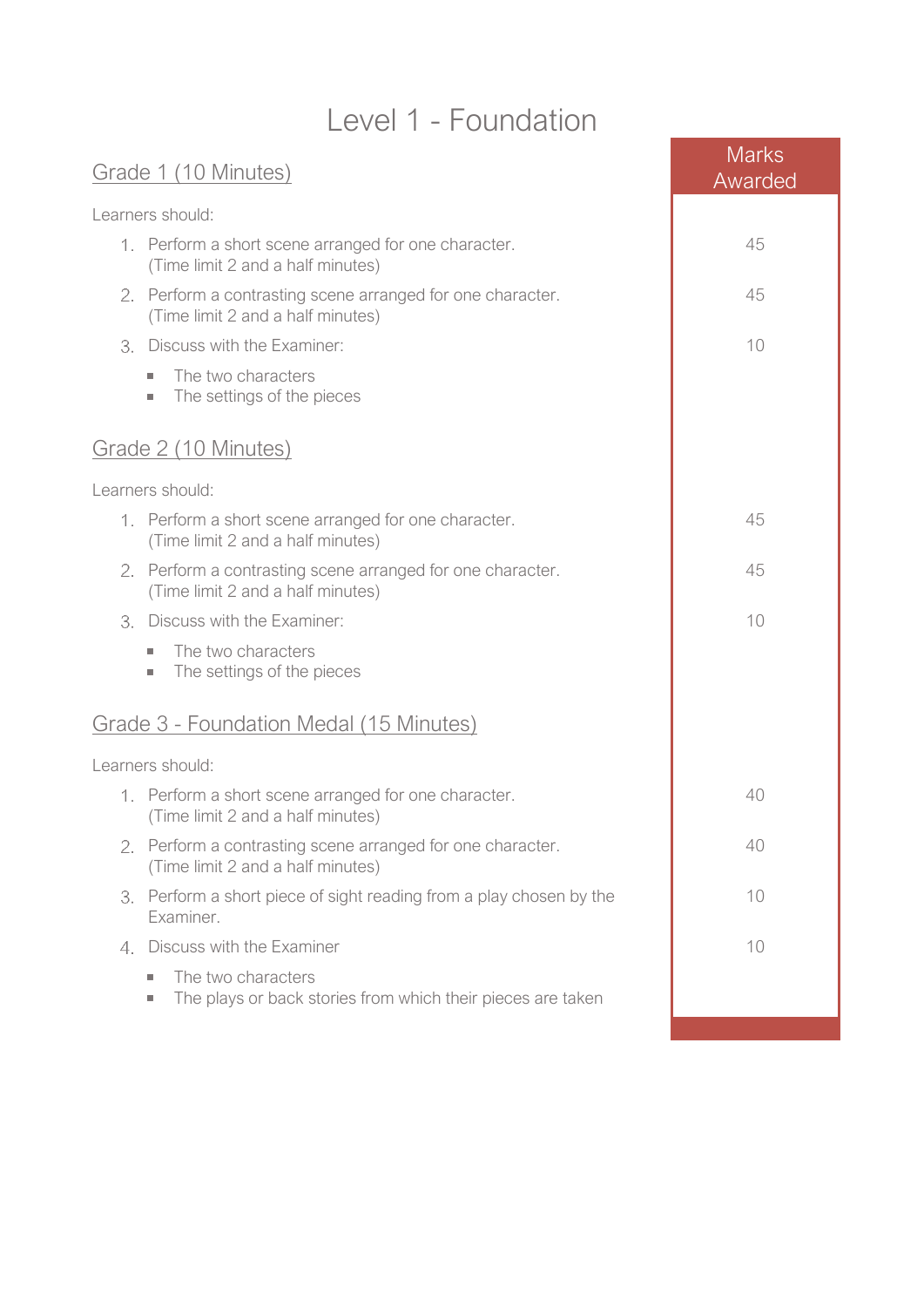### Level 1 - Foundation

Marks and the contract of the contract of the contract of the contract of the contract of the contract of the contract of the contract of the contract of the contract of the contract of the contract of the contract of the

| Grade 1 (10 Minutes)                                                                            | <b>IVIATKS</b><br>Awarded |
|-------------------------------------------------------------------------------------------------|---------------------------|
| Learners should:                                                                                |                           |
| 1. Perform a short scene arranged for one character.<br>(Time limit 2 and a half minutes)       | 45                        |
| 2. Perform a contrasting scene arranged for one character.<br>(Time limit 2 and a half minutes) | 45                        |
| Discuss with the Examiner:<br>3.                                                                | 10                        |
| The two characters<br>٠<br>The settings of the pieces<br>$\mathcal{L}_{\mathcal{A}}$            |                           |
| Grade 2 (10 Minutes)                                                                            |                           |
| Learners should:                                                                                |                           |
| 1. Perform a short scene arranged for one character.<br>(Time limit 2 and a half minutes)       | 45                        |
| 2. Perform a contrasting scene arranged for one character.<br>(Time limit 2 and a half minutes) | 45                        |
| 3. Discuss with the Examiner:                                                                   | 10                        |
| The two characters<br>٠<br>The settings of the pieces<br>×.                                     |                           |
| Grade 3 - Foundation Medal (15 Minutes)                                                         |                           |
| Learners should:                                                                                |                           |
| 1. Perform a short scene arranged for one character.<br>(Time limit 2 and a half minutes)       | 40                        |
| Perform a contrasting scene arranged for one character.<br>(Time limit 2 and a half minutes)    | 40                        |
| Perform a short piece of sight reading from a play chosen by the<br>3.<br>Examiner.             | 10                        |
| 4. Discuss with the Examiner                                                                    | 10                        |
| The two characters<br>m.<br>The plays or back stories from which their pieces are taken<br>×.   |                           |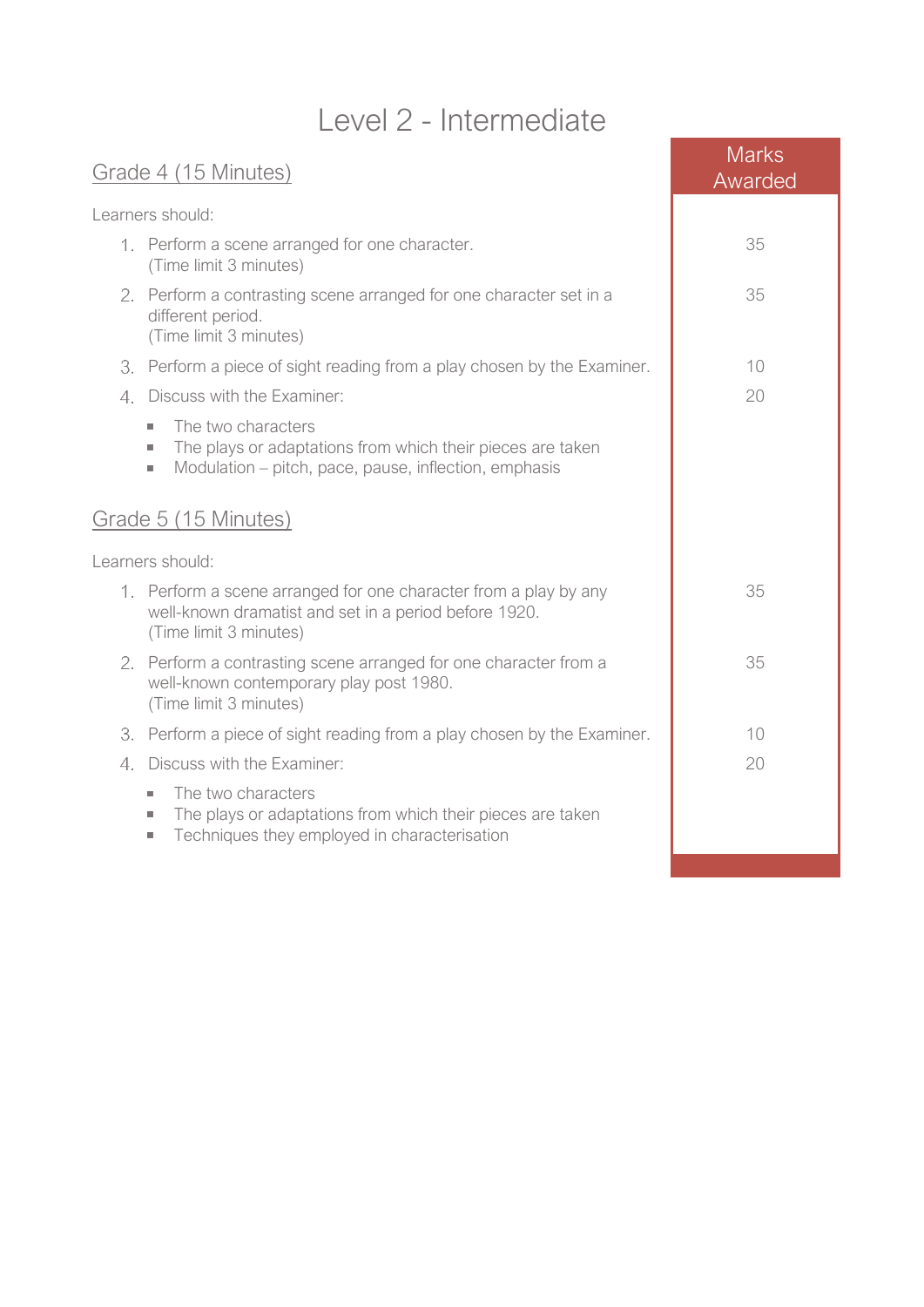### Level 2 - Intermediate

| Grade 4 (15 Minutes) |                                                                                                                                                                                     | <b>Marks</b><br>Awarded |
|----------------------|-------------------------------------------------------------------------------------------------------------------------------------------------------------------------------------|-------------------------|
|                      | Learners should:                                                                                                                                                                    |                         |
|                      | 1. Perform a scene arranged for one character.<br>(Time limit 3 minutes)                                                                                                            | 35                      |
|                      | 2. Perform a contrasting scene arranged for one character set in a<br>different period.<br>(Time limit 3 minutes)                                                                   | 35                      |
| 3.                   | Perform a piece of sight reading from a play chosen by the Examiner.                                                                                                                | 10                      |
| 4.                   | Discuss with the Examiner:                                                                                                                                                          | 20                      |
|                      | The two characters<br>٠<br>The plays or adaptations from which their pieces are taken<br>$\mathcal{L}_{\mathcal{A}}$<br>Modulation – pitch, pace, pause, inflection, emphasis<br>×. |                         |
|                      | Grade 5 (15 Minutes)                                                                                                                                                                |                         |
|                      | Learners should:                                                                                                                                                                    |                         |
|                      | 1. Perform a scene arranged for one character from a play by any<br>well-known dramatist and set in a period before 1920.<br>(Time limit 3 minutes)                                 | 35                      |
| 2.                   | Perform a contrasting scene arranged for one character from a<br>well-known contemporary play post 1980.<br>(Time limit 3 minutes)                                                  | 35                      |
| 3.                   | Perform a piece of sight reading from a play chosen by the Examiner.                                                                                                                | 10                      |
| 4.                   | Discuss with the Examiner:                                                                                                                                                          | 20                      |
|                      | The two characters<br>٠<br>The plays or adaptations from which their pieces are taken<br>$\sim$<br>Techniques they employed in characterisation<br>$\sim$                           |                         |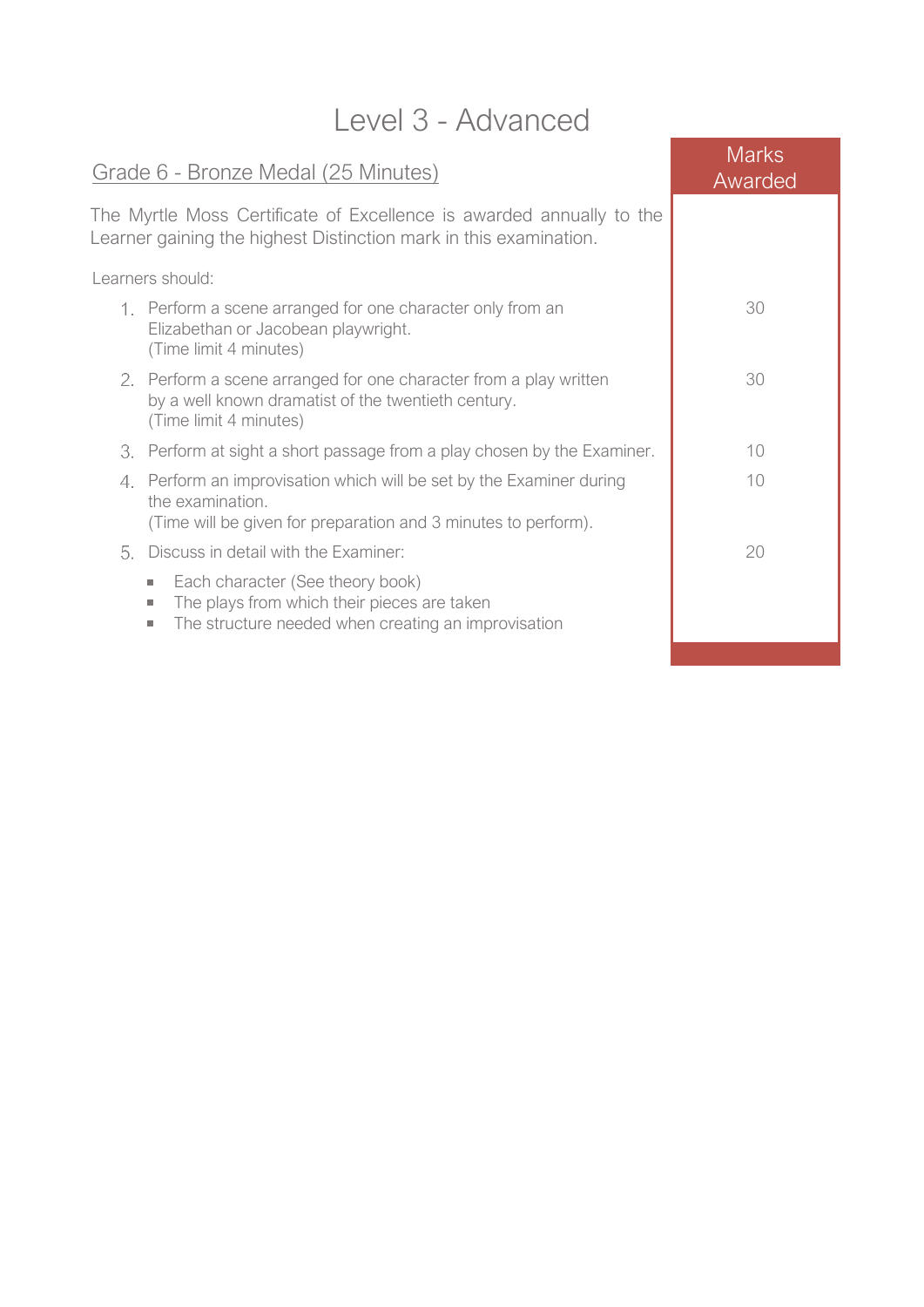| Level 3 - Advanced |                                                                                                                                                                  |                         |
|--------------------|------------------------------------------------------------------------------------------------------------------------------------------------------------------|-------------------------|
|                    | Grade 6 - Bronze Medal (25 Minutes)                                                                                                                              | <b>Marks</b><br>Awarded |
|                    | The Myrtle Moss Certificate of Excellence is awarded annually to the<br>Learner gaining the highest Distinction mark in this examination.                        |                         |
|                    | Learners should:                                                                                                                                                 |                         |
|                    | 1. Perform a scene arranged for one character only from an<br>Elizabethan or Jacobean playwright.<br>(Time limit 4 minutes)                                      | 30                      |
|                    | 2. Perform a scene arranged for one character from a play written<br>by a well known dramatist of the twentieth century.<br>(Time limit 4 minutes)               | 30                      |
|                    | 3. Perform at sight a short passage from a play chosen by the Examiner.                                                                                          | 10                      |
|                    | 4. Perform an improvisation which will be set by the Examiner during<br>the examination.<br>(Time will be given for preparation and 3 minutes to perform).       | 10                      |
| 5.                 | Discuss in detail with the Examiner:                                                                                                                             | 20                      |
|                    | Each character (See theory book)<br>a.<br>The plays from which their pieces are taken<br>×.<br>The structure needed when creating an improvisation<br><b>COL</b> |                         |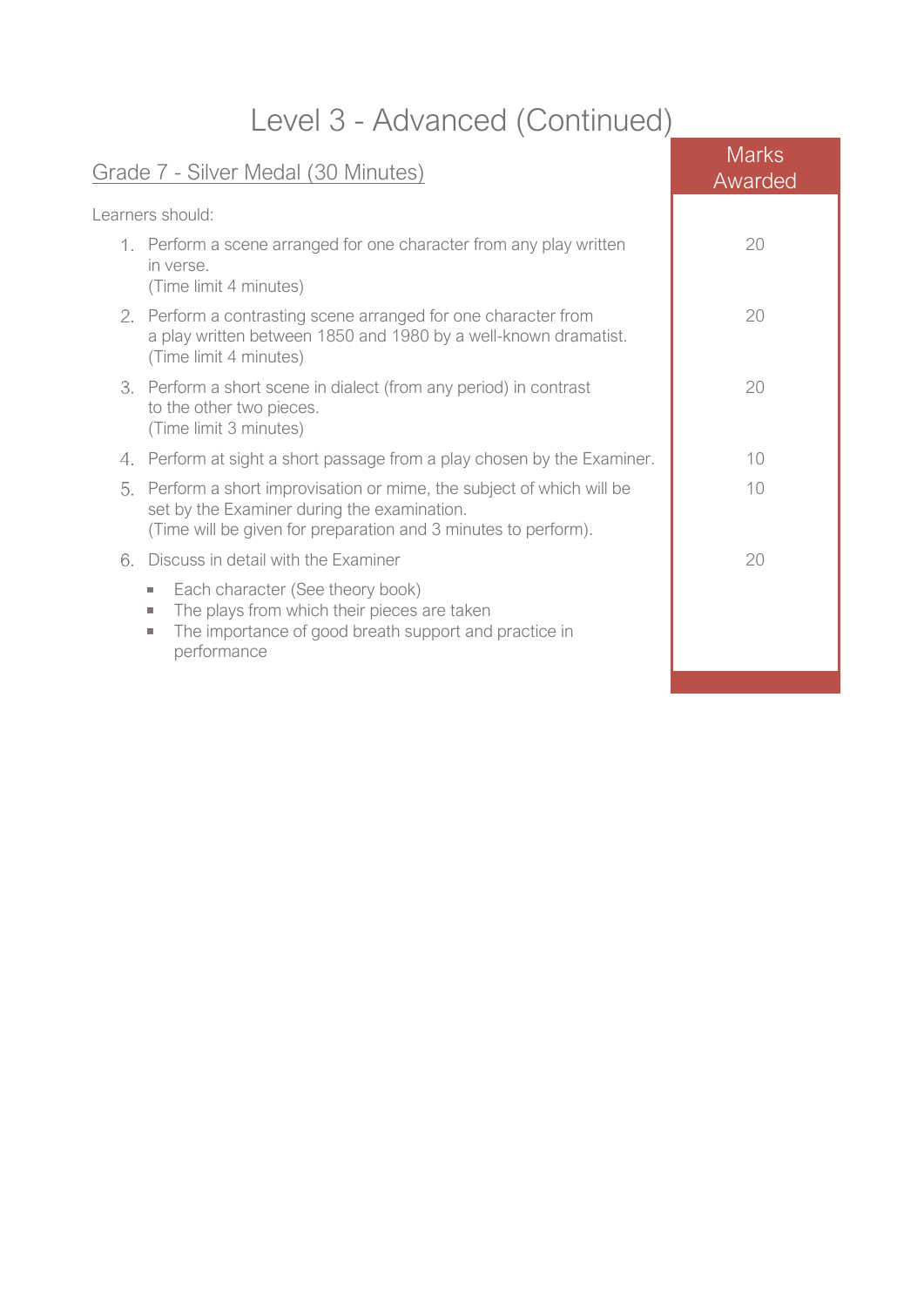## Level 3 - Advanced (Continued)

| Grade 7 - Silver Medal (30 Minutes)                                                                                                                                                        | Marks<br>Awarded |
|--------------------------------------------------------------------------------------------------------------------------------------------------------------------------------------------|------------------|
| Learners should:                                                                                                                                                                           |                  |
| 1. Perform a scene arranged for one character from any play written<br>in verse.<br>(Time limit 4 minutes)                                                                                 | 20               |
| 2. Perform a contrasting scene arranged for one character from<br>a play written between 1850 and 1980 by a well-known dramatist.<br>(Time limit 4 minutes)                                | 20               |
| 3. Perform a short scene in dialect (from any period) in contrast<br>to the other two pieces.<br>(Time limit 3 minutes)                                                                    | 20               |
| 4. Perform at sight a short passage from a play chosen by the Examiner.                                                                                                                    | 10               |
| Perform a short improvisation or mime, the subject of which will be<br>5.<br>set by the Examiner during the examination.<br>(Time will be given for preparation and 3 minutes to perform). | 10               |
| Discuss in detail with the Examiner<br>6.                                                                                                                                                  | 20               |
| Each character (See theory book)<br>a.<br>The plays from which their pieces are taken<br>ш<br>The importance of good breath support and practice in<br>$\sim$<br>performance               |                  |
|                                                                                                                                                                                            |                  |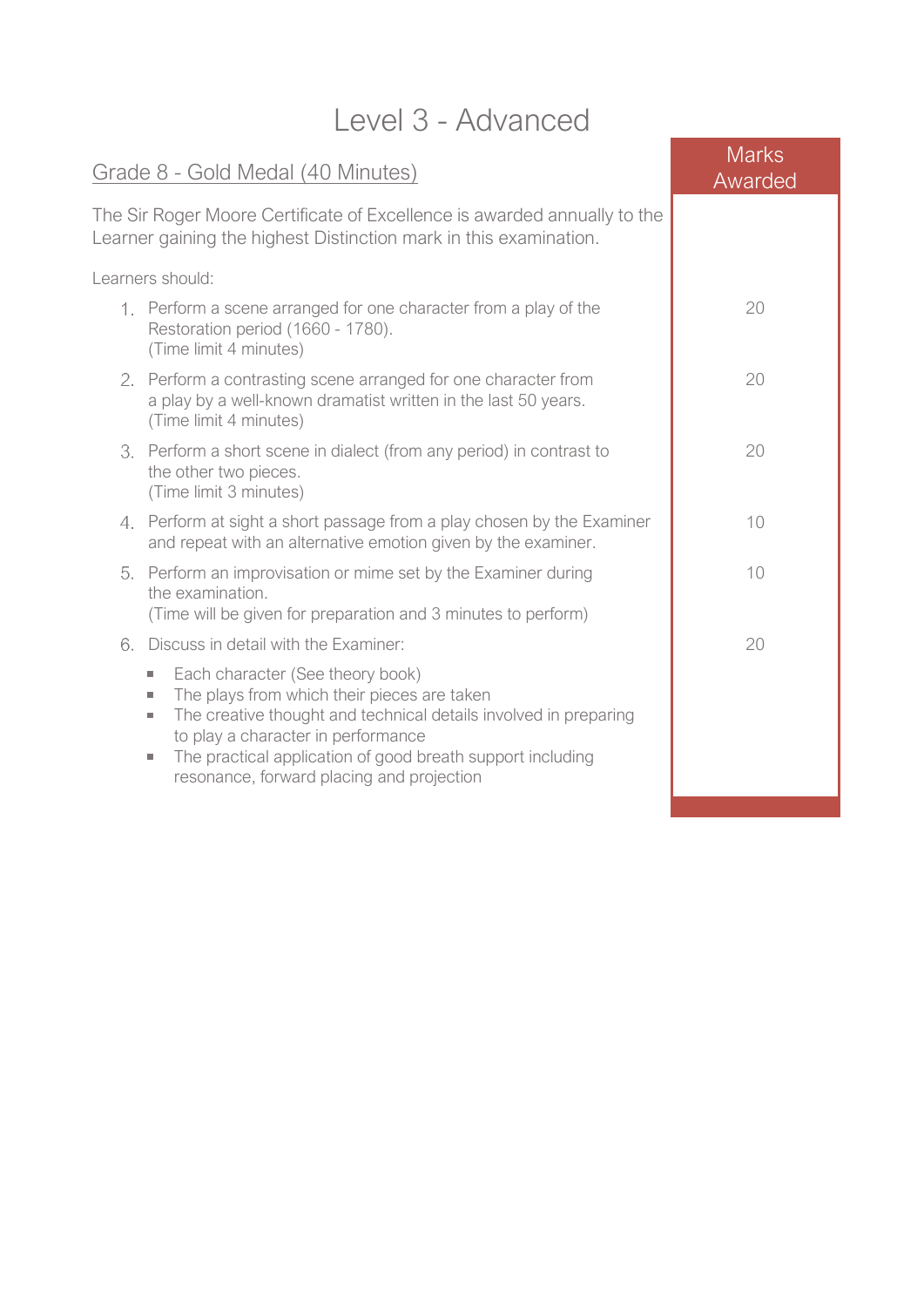| Level 3 - Advanced                                                                                                                                                                                                                                                                                                                                  |                         |  |
|-----------------------------------------------------------------------------------------------------------------------------------------------------------------------------------------------------------------------------------------------------------------------------------------------------------------------------------------------------|-------------------------|--|
| Grade 8 - Gold Medal (40 Minutes)                                                                                                                                                                                                                                                                                                                   | <b>Marks</b><br>Awarded |  |
| The Sir Roger Moore Certificate of Excellence is awarded annually to the<br>Learner gaining the highest Distinction mark in this examination.                                                                                                                                                                                                       |                         |  |
| Learners should:                                                                                                                                                                                                                                                                                                                                    |                         |  |
| 1. Perform a scene arranged for one character from a play of the<br>Restoration period (1660 - 1780).<br>(Time limit 4 minutes)                                                                                                                                                                                                                     | 20                      |  |
| 2. Perform a contrasting scene arranged for one character from<br>a play by a well-known dramatist written in the last 50 years.<br>(Time limit 4 minutes)                                                                                                                                                                                          | 20                      |  |
| 3. Perform a short scene in dialect (from any period) in contrast to<br>the other two pieces.<br>(Time limit 3 minutes)                                                                                                                                                                                                                             | 20                      |  |
| 4. Perform at sight a short passage from a play chosen by the Examiner<br>and repeat with an alternative emotion given by the examiner.                                                                                                                                                                                                             | 10                      |  |
| 5. Perform an improvisation or mime set by the Examiner during<br>the examination.<br>(Time will be given for preparation and 3 minutes to perform)                                                                                                                                                                                                 | 10                      |  |
| 6. Discuss in detail with the Examiner:                                                                                                                                                                                                                                                                                                             | 20                      |  |
| Each character (See theory book)<br>$\mathcal{L}_{\mathcal{A}}$<br>The plays from which their pieces are taken<br>×.<br>The creative thought and technical details involved in preparing<br>٠<br>to play a character in performance<br>The practical application of good breath support including<br>٠<br>resonance, forward placing and projection |                         |  |